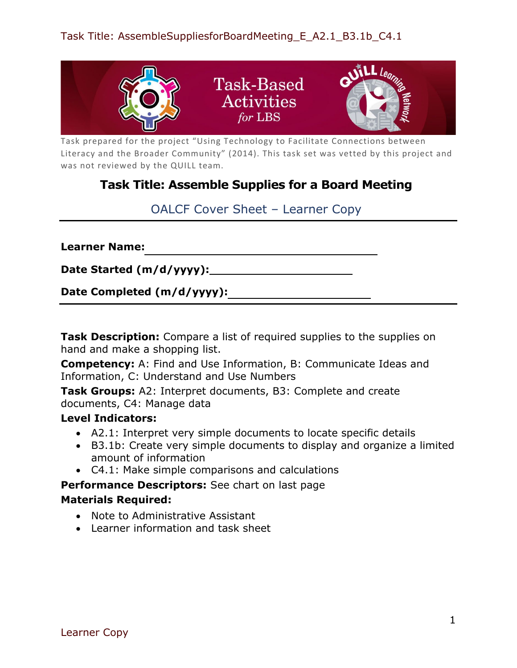

Task prepared for the project "Using Technology to Facilitate Connections between Literacy and the Broader Community" (2014). This task set was vetted by this project and was not reviewed by the QUILL team.

## **Task Title: Assemble Supplies for a Board Meeting**

OALCF Cover Sheet – Learner Copy

**Learner Name:**

**Date Started (m/d/yyyy):**

**Date Completed (m/d/yyyy):**

**Task Description:** Compare a list of required supplies to the supplies on hand and make a shopping list.

**Competency:** A: Find and Use Information, B: Communicate Ideas and Information, C: Understand and Use Numbers

**Task Groups:** A2: Interpret documents, B3: Complete and create documents, C4: Manage data

## **Level Indicators:**

- A2.1: Interpret very simple documents to locate specific details
- B3.1b: Create very simple documents to display and organize a limited amount of information
- C4.1: Make simple comparisons and calculations

**Performance Descriptors:** See chart on last page

## **Materials Required:**

- Note to Administrative Assistant
- Learner information and task sheet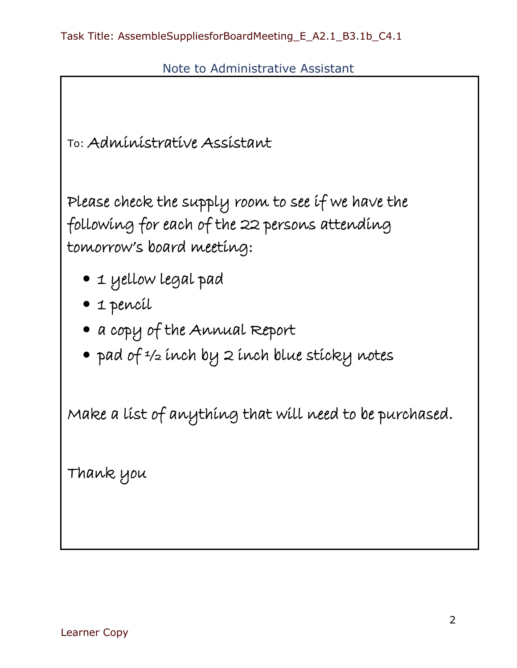Note to Administrative Assistant